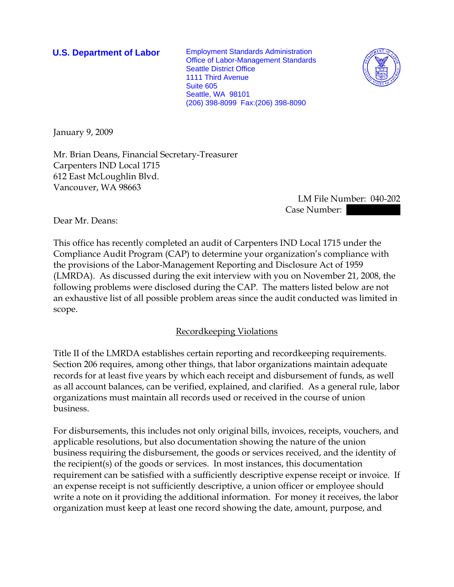**U.S. Department of Labor** Employment Standards Administration Office of Labor-Management Standards Seattle District Office 1111 Third Avenue Suite 605 Seattle, WA 98101 (206) 398-8099 Fax:(206) 398-8090



January 9, 2009

Mr. Brian Deans, Financial Secretary-Treasurer Carpenters IND Local 1715 612 East McLoughlin Blvd. Vancouver, WA 98663

> LM File Number: 040-202 Case Number:

Dear Mr. Deans:

This office has recently completed an audit of Carpenters IND Local 1715 under the Compliance Audit Program (CAP) to determine your organization's compliance with the provisions of the Labor-Management Reporting and Disclosure Act of 1959 (LMRDA). As discussed during the exit interview with you on November 21, 2008, the following problems were disclosed during the CAP. The matters listed below are not an exhaustive list of all possible problem areas since the audit conducted was limited in scope.

## Recordkeeping Violations

Title II of the LMRDA establishes certain reporting and recordkeeping requirements. Section 206 requires, among other things, that labor organizations maintain adequate records for at least five years by which each receipt and disbursement of funds, as well as all account balances, can be verified, explained, and clarified. As a general rule, labor organizations must maintain all records used or received in the course of union business.

For disbursements, this includes not only original bills, invoices, receipts, vouchers, and applicable resolutions, but also documentation showing the nature of the union business requiring the disbursement, the goods or services received, and the identity of the recipient(s) of the goods or services. In most instances, this documentation requirement can be satisfied with a sufficiently descriptive expense receipt or invoice. If an expense receipt is not sufficiently descriptive, a union officer or employee should write a note on it providing the additional information. For money it receives, the labor organization must keep at least one record showing the date, amount, purpose, and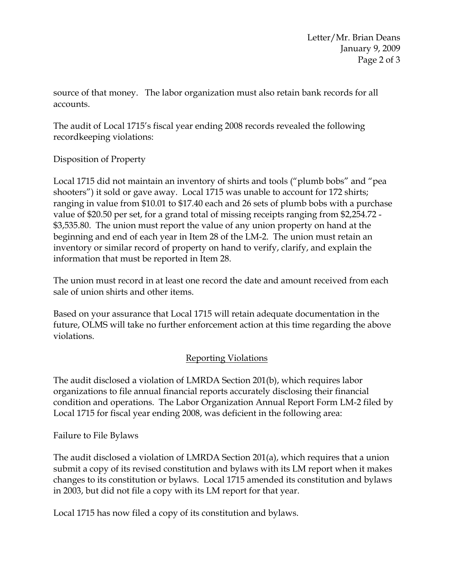source of that money. The labor organization must also retain bank records for all accounts.

The audit of Local 1715's fiscal year ending 2008 records revealed the following recordkeeping violations:

Disposition of Property

Local 1715 did not maintain an inventory of shirts and tools ("plumb bobs" and "pea shooters") it sold or gave away. Local 1715 was unable to account for 172 shirts; ranging in value from \$10.01 to \$17.40 each and 26 sets of plumb bobs with a purchase value of \$20.50 per set, for a grand total of missing receipts ranging from \$2,254.72 - \$3,535.80. The union must report the value of any union property on hand at the beginning and end of each year in Item 28 of the LM-2. The union must retain an inventory or similar record of property on hand to verify, clarify, and explain the information that must be reported in Item 28.

The union must record in at least one record the date and amount received from each sale of union shirts and other items.

Based on your assurance that Local 1715 will retain adequate documentation in the future, OLMS will take no further enforcement action at this time regarding the above violations.

## Reporting Violations

The audit disclosed a violation of LMRDA Section 201(b), which requires labor organizations to file annual financial reports accurately disclosing their financial condition and operations. The Labor Organization Annual Report Form LM-2 filed by Local 1715 for fiscal year ending 2008, was deficient in the following area:

Failure to File Bylaws

The audit disclosed a violation of LMRDA Section 201(a), which requires that a union submit a copy of its revised constitution and bylaws with its LM report when it makes changes to its constitution or bylaws. Local 1715 amended its constitution and bylaws in 2003, but did not file a copy with its LM report for that year.

Local 1715 has now filed a copy of its constitution and bylaws.